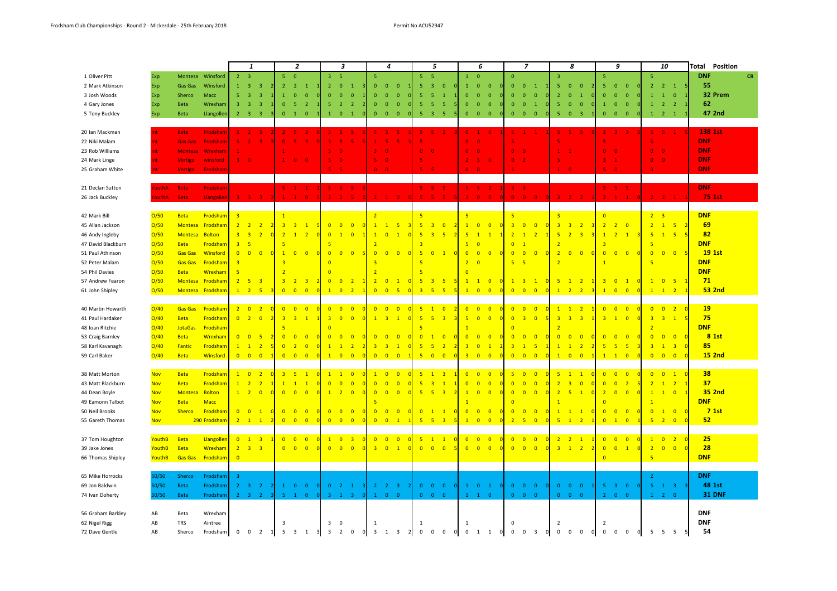|                    |               |                    |                 |                         | $\mathbf{1}$                                          |                            | $\overline{2}$             |                                        |                         | $\overline{\mathbf{3}}$                                 |                         | $\overline{4}$                  |                                           | 5                                            |                                           | 6                       |                                                          | $\overline{z}$                              |                                                          | 8              |                                              | 9                       |                                           |                | 10                                                    | Total<br>Position                            |                  |
|--------------------|---------------|--------------------|-----------------|-------------------------|-------------------------------------------------------|----------------------------|----------------------------|----------------------------------------|-------------------------|---------------------------------------------------------|-------------------------|---------------------------------|-------------------------------------------|----------------------------------------------|-------------------------------------------|-------------------------|----------------------------------------------------------|---------------------------------------------|----------------------------------------------------------|----------------|----------------------------------------------|-------------------------|-------------------------------------------|----------------|-------------------------------------------------------|----------------------------------------------|------------------|
| 1 Oliver Pitt      | Exp           | Montesa            | Winsford        | $\overline{2}$          | $\overline{\mathbf{3}}$                               | 5 <sup>°</sup>             | $\overline{0}$             |                                        | $\overline{3}$          | -5                                                      | $\overline{5}$          |                                 |                                           | $-5$<br>5                                    |                                           | $\mathbf{1}$            | $\overline{0}$                                           | $\mathbf{0}$                                |                                                          | $\overline{3}$ |                                              | 5                       |                                           |                | -5                                                    |                                              | <b>DNF</b><br>CR |
| 2 Mark Atkinson    | Exp           | Gas Gas            | Winsford        | $\mathbf{1}$            | $\overline{\mathbf{3}}$<br>$\overline{\mathbf{3}}$    | $\overline{2}$             | $\overline{2}$             |                                        | $\overline{2}$          | $\overline{0}$<br>$\overline{1}$                        | $\overline{0}$          | $\overline{0}$                  | $\overline{0}$                            | 5<br>$\overline{\mathbf{3}}$                 | $\overline{0}$                            | $\mathbf{1}$            | $\overline{0}$<br>$\mathbf{0}$                           | $\mathbf{0}$                                | $\overline{0}$<br>$\mathbf{1}$                           | 5              | $\overline{0}$<br>$\overline{0}$             | 5                       | $\overline{0}$<br>$\overline{0}$          | οI             | $\overline{2}$<br>$\overline{2}$                      | $\blacksquare$                               | 55               |
| 3 Josh Woods       | Exp           | Sherco             | Macc            | 5 <sup>1</sup>          | $\overline{\mathbf{3}}$<br>$\overline{3}$             | $\mathbf{1}$               | $\mathbf{0}$               | $\Omega$                               | $\Omega$                | $\Omega$<br>$\Omega$                                    | $\mathbf{0}$            | $\overline{0}$                  | $\Omega$                                  | 5<br>-5                                      |                                           | $\mathbf{0}$            | $\Omega$<br>$\Omega$                                     | $\mathbf{0}$                                | $\mathbf{0}$<br>$\mathbf{0}$                             | $\overline{2}$ | $\overline{1}$<br>$\Omega$                   | $\Omega$                | $\mathbf{0}$<br>$\overline{0}$            |                | $\overline{1}$<br>$\overline{1}$                      | $\overline{0}$                               | 32 Prem          |
| 4 Gary Jones       | Exp           | Beta               | Wrexham         | $\overline{3}$          | $\overline{3}$<br>$\overline{\mathbf{3}}$             | $\mathbf{0}$               | -5                         | $\overline{2}$                         | -5                      | $\overline{2}$<br>$\overline{2}$                        | $\mathbf{0}$            | $\overline{\mathbf{0}}$         | $\overline{0}$                            | 5 <sub>1</sub><br>-5                         | -5                                        | $\mathbf{0}$            | $\overline{0}$<br>$\mathbf{0}$                           | $\mathbf{0}$                                | $\overline{\mathbf{0}}$<br>$\mathbf{1}$                  | 5              | $\overline{0}$<br>$\overline{\mathbf{0}}$    | $\mathbf{1}$            | $\overline{0}$<br>$\overline{0}$          |                | $\mathbf{1}$                                          | $\overline{2}$<br>$\overline{2}$             | 62               |
| 5 Tony Buckley     | Exp           | <b>Beta</b>        | Llangollen      | $\overline{2}$          | $\overline{\mathbf{3}}$<br>$\overline{\phantom{a}}$ 3 | $\mathbf{0}$               | $\mathbf{1}$               | $\overline{0}$                         | $\mathbf{1}$            | $\mathbf{0}$<br>$\mathbf{1}$                            | $\overline{0}$          | $\overline{\mathbf{0}}$         | $\overline{0}$                            | 5 <sub>1</sub><br>$\overline{\mathbf{3}}$    | $-5$                                      | $\mathbf{0}$            | $\overline{\mathbf{0}}$<br>$\mathbf 0$                   | $\mathbf{0}$                                | $\mathbf{0}$<br>$\overline{\phantom{0}}$                 | 5              | $\overline{\mathbf{3}}$<br>$\bullet$ 0       | $\mathbf{0}$            | $\overline{\mathbf{0}}$<br>$\overline{0}$ |                |                                                       | $1 \qquad 2 \qquad 1$                        | 47 2nd           |
|                    |               |                    |                 |                         |                                                       |                            |                            |                                        |                         |                                                         |                         |                                 |                                           |                                              |                                           |                         |                                                          |                                             |                                                          |                |                                              |                         |                                           |                |                                                       |                                              |                  |
| 20 Ian Mackman     |               | <b>Beta</b>        | Frodsham        | $5 - 2$                 | -51                                                   |                            | $2 \times 5$               | $\overline{2}$<br>$\Omega$             | $5 - 5$                 | 5                                                       |                         | $5 - 5$                         | -51                                       | $5 \quad 5 \quad 2$                          |                                           | $0 - 1$                 | $\overline{0}$                                           | $5 - 1$                                     | $\mathbf{1}$                                             |                | $5 - 5$<br>-51                               |                         | $3 - 3$                                   | 3 <sup>2</sup> |                                                       | $5 \quad 5 \quad 1$                          | <b>138 1st</b>   |
| 22 Niki Malam      |               | <b>Gas Gas</b>     | <b>Frodsham</b> |                         | $\overline{2}$                                        | $\Omega$                   | 5.                         | <b>S</b>                               |                         | 5                                                       | 1                       | -5                              | R                                         | 5                                            |                                           | $\mathbf{0}$            | ം                                                        |                                             |                                                          |                |                                              | 5                       |                                           |                |                                                       |                                              | <b>DNF</b>       |
| 23 Rob Williams    |               | <b>Montesa</b>     | Wrexham         | $\mathbf{1}$            |                                                       |                            |                            |                                        | $5 -$                   | $\overline{0}$                                          | 3 <sup>2</sup>          | $\overline{\phantom{a}}$        |                                           | $\mathbf{0}$<br>$\overline{\phantom{a}}$     |                                           | $0 \quad 0$             |                                                          | $0 \quad 0$                                 |                                                          | $\mathbf{1}$   |                                              | $\mathbf{0}$            | $\Omega$                                  |                | $\mathbf{0}$<br>$\Omega$                              |                                              | <b>DNF</b>       |
|                    |               |                    |                 | 300                     |                                                       |                            | $\bullet$ 0                |                                        | 5 <sub>1</sub>          |                                                         | 5 <sup>2</sup>          |                                 |                                           | $\overline{\mathbf{5}}$                      |                                           | 2 <sup>2</sup>          |                                                          | $\mathbf{0}$                                |                                                          | $\overline{5}$ |                                              | $\overline{\mathbf{3}}$ |                                           |                | $\mathbf{0}$                                          |                                              | <b>DNF</b>       |
| 24 Mark Linge      |               | Vertigo<br>Vertigo | winsford        |                         |                                                       |                            |                            | $\bullet$                              |                         | $\overline{\mathbf{0}}$                                 | $\Omega$                | $\overline{\phantom{a}}$<br>- വ |                                           | 5 <sup>1</sup><br>-5                         |                                           | 0 <sup>1</sup>          | -51<br>$\mathbf{0}$<br>- 0                               |                                             | $\overline{2}$                                           | $1 -$          | $\sqrt{2}$                                   | 5 <sup>2</sup>          | $\Omega$                                  |                |                                                       | $\overline{0}$                               | <b>DNF</b>       |
| 25 Graham White    |               |                    | Frodshan        |                         |                                                       |                            |                            |                                        |                         |                                                         |                         |                                 |                                           |                                              |                                           |                         |                                                          |                                             |                                                          |                |                                              |                         |                                           |                |                                                       |                                              |                  |
|                    | YouthA        |                    |                 |                         |                                                       |                            |                            |                                        |                         |                                                         |                         |                                 |                                           |                                              |                                           | $5 - 5$                 |                                                          |                                             |                                                          |                |                                              |                         |                                           |                |                                                       |                                              | <b>DNF</b>       |
| 21 Declan Sutton   |               | <b>Beta</b>        | Frodsham        |                         |                                                       |                            | $5 - 1$<br>$\mathbf{1}$    | $\overline{1}$<br>$\overline{0}$       | $5 -$<br>$\overline{a}$ | -51<br>-51<br>$\overline{2}$<br>$\overline{\mathbf{5}}$ | 2 <sup>1</sup>          |                                 |                                           | $5 - 5$<br>5 <sup>7</sup><br>$-5$            | -5.<br>5 <sup>7</sup>                     | 3 <sup>°</sup>          | $\overline{2}$<br>$\overline{0}$<br>$\mathbf{0}$         | $3 - 3$<br>$\overline{0}$<br>$\overline{0}$ |                                                          | $3 - 2$        | 2 <sup>7</sup>                               |                         | 5, 5, 5<br>$2 - 1$<br>$\mathbf{1}$        |                |                                                       | $2 \t 2 \t 1$                                | 75 1st           |
| 26 Jack Buckley    | <b>/ourhA</b> | <b>Beta</b>        | Llangollen      | $\overline{3}$          | 3 <sup>3</sup>                                        |                            |                            |                                        |                         |                                                         |                         | $\mathbf{1}$                    | $\overline{0}$                            |                                              |                                           |                         |                                                          |                                             | $\overline{0}$                                           |                |                                              |                         |                                           |                |                                                       |                                              |                  |
|                    |               |                    |                 |                         |                                                       |                            |                            |                                        |                         |                                                         |                         |                                 |                                           |                                              |                                           |                         |                                                          |                                             |                                                          |                |                                              |                         |                                           |                |                                                       |                                              |                  |
| 42 Mark Bill       | O/50          | <b>Beta</b>        | Frodsham        | $\overline{\mathbf{3}}$ |                                                       | $\overline{1}$             |                            |                                        |                         |                                                         | $\overline{2}$          |                                 |                                           | -5                                           |                                           | 5                       |                                                          | 5 <sub>5</sub>                              |                                                          | $\overline{3}$ |                                              | $\overline{0}$          |                                           |                | $2 \quad 3$                                           |                                              | <b>DNF</b>       |
| 45 Allan Jackson   | O/50          | Montesa            | Frodsham        | $\overline{2}$          | $\overline{2}$<br>$\overline{2}$                      | $\overline{\mathbf{3}}$    | $\overline{3}$             | $\overline{1}$<br>5                    | $\overline{0}$          | $\overline{0}$<br>$\overline{0}$                        | $\overline{1}$          | $\overline{1}$                  | -5                                        | $5\phantom{.0}$<br>$\overline{3}$            | $\overline{0}$                            | $\mathbf{1}$            | $\overline{\mathbf{0}}$<br>$\overline{0}$                | $\overline{3}$                              | $\overline{0}$<br>$\overline{0}$                         | $\overline{3}$ | $\overline{3}$<br>$\overline{2}$             | $\overline{2}$          | $\overline{2}$<br>$\overline{0}$          |                | 2 <sup>2</sup>                                        | $-5$<br>$\overline{1}$                       | 69               |
| 46 Andy Ingleby    | O/50          | Montesa            | <b>Bolton</b>   | $\overline{\mathbf{3}}$ | $\overline{3}$<br>$\overline{2}$                      | $\overline{2}$             | $\overline{1}$             | $\overline{2}$                         | $\overline{0}$          | $\mathbf{1}$<br>$\overline{0}$                          | $\overline{1}$          | $\overline{0}$                  | $\overline{1}$                            | 5 <sub>5</sub><br>$\overline{3}$             | $-5$                                      | 5 <sub>5</sub>          | $\mathbf{1}$<br>$\mathbf{1}$                             | $\overline{2}$                              | $\overline{2}$<br>$\mathbf{1}$                           | 5 <sub>5</sub> | $\overline{3}$<br>$\overline{2}$             | $\mathbf{1}$            | $\overline{2}$<br>$\mathbf{1}$            | $\overline{3}$ | 5 <sub>5</sub>                                        | $-5$<br>1                                    | 82<br><b>DNF</b> |
| 47 David Blackburn | O/50          | <b>Beta</b>        | Frodsham        | $\overline{3}$          | 5                                                     | $\overline{5}$             |                            |                                        |                         |                                                         | $\overline{2}$          |                                 |                                           | q                                            |                                           | $\overline{5}$          | $\overline{0}$                                           | $\overline{0}$                              |                                                          |                |                                              |                         |                                           |                |                                                       |                                              |                  |
| 51 Paul Athinson   | O/50          | <b>Gas Gas</b>     | Winsford        | $\overline{0}$          | $\overline{0}$<br>$\Omega$                            | $\overline{1}$             | $\overline{0}$             | $\overline{0}$                         | $\overline{0}$          | $\overline{0}$<br>$\overline{0}$                        | $\overline{0}$          | $\overline{0}$                  | $\overline{0}$                            | $5\overline{5}$<br>$\overline{0}$            | $\sqrt{1}$<br>$\Omega$                    | $\overline{0}$          | $\overline{0}$<br>$\overline{0}$                         | $\overline{0}$                              | $\overline{0}$<br>$\overline{0}$                         | $\overline{2}$ | $\overline{0}$<br>$\Omega$                   | $\overline{0}$          | $\overline{0}$<br>$\overline{0}$          |                | $\overline{0}$                                        | $\overline{0}$<br>$\overline{\mathbf{0}}$    | 19 1st           |
| 52 Peter Malam     | O/50          | <b>Gas Gas</b>     | Frodsham        | $\overline{\mathbf{3}}$ |                                                       | $\overline{\mathbf{3}}$    |                            |                                        | $\overline{0}$          |                                                         | $\overline{\mathbf{3}}$ |                                 |                                           | 5                                            |                                           | $\overline{2}$          | - C                                                      | 5 <sup>1</sup>                              | $\bullet$                                                | $\overline{2}$ |                                              | $\overline{1}$          |                                           |                | 5                                                     |                                              | <b>DNF</b>       |
| 54 Phil Davies     | O/50          | <b>Beta</b>        | Wrexham         | 5                       |                                                       | $\overline{2}$             |                            |                                        | $\overline{0}$          |                                                         | $\overline{2}$          |                                 |                                           | 5                                            |                                           | $\Omega$                |                                                          |                                             |                                                          |                |                                              |                         |                                           |                |                                                       |                                              | <b>DNF</b>       |
| 57 Andrew Fearon   | O/50          | Montesa            | Frodsham        | $\overline{2}$          | 5<br>$\overline{\mathbf{3}}$                          | $\overline{3}$             | $\overline{2}$             | $\overline{3}$                         | $\overline{0}$          | $\overline{0}$<br>$\overline{2}$                        | $\overline{2}$          | $\overline{\mathbf{0}}$         | $\mathbf{1}$                              | $\bullet$<br>$\overline{\mathbf{3}}$         | $-5$<br>$-5$                              | $\mathbf{1}$            | $\overline{\mathbf{0}}$<br>$\mathbf{1}$                  | $\mathbf{1}$                                | $\overline{\mathbf{3}}$<br>$\mathbf{1}$                  | 5 <sub>5</sub> | $\overline{2}$<br>$\overline{1}$             | $\overline{3}$          | $\overline{0}$<br>$\vert 1 \vert$         |                | $1 \quad 0$                                           | $-5$                                         | 71               |
| 61 John Shipley    | O/50          | Montesa            | Frodsham        |                         | $1 \quad 2 \quad 5$                                   | $\overline{0}$             | $0$ 0                      | $\Omega$                               | $\mathbf{1}$            | $0$ 2                                                   |                         | $0 \t 0 \t 5$                   |                                           | 3 <sup>2</sup><br>$-5$                       | $-5$                                      | $\mathbf{1}$            | $\overline{\mathbf{0}}$<br>$\overline{\phantom{0}}$ 0    | $\overline{0}$                              | $\overline{\phantom{0}}$ 0<br>$\overline{\phantom{0}}$ 0 | $1 \quad 2$    | $\overline{\phantom{0}}$ 2                   | $\mathbf{1}$            | $0\quad 0$                                |                |                                                       | $1 \quad 1 \quad 2$                          | <b>53 2nd</b>    |
|                    |               |                    |                 |                         |                                                       |                            |                            |                                        |                         |                                                         |                         |                                 |                                           |                                              |                                           |                         |                                                          |                                             |                                                          |                |                                              |                         |                                           |                |                                                       |                                              |                  |
| 40 Martin Howarth  | O/40          | <b>Gas Gas</b>     | Frodsham        |                         | $2 \quad 0 \quad 2$                                   | $\Omega$                   | $0$ 0 0                    | $\overline{\phantom{0}}$               |                         | $0\quad 0\quad 0$                                       | $\overline{0}$          | $0$ 0 0                         |                                           | $5 \quad 1 \quad 0$                          | $\overline{2}$                            | $0\quad 0$              | $\overline{\phantom{0}}$ 0<br>$\overline{c}$             |                                             | $0\quad 0\quad 0$                                        |                | $1 \quad 1 \quad 2$                          | $\blacksquare$          | $0\quad 0\quad 0$                         |                |                                                       | $0 \t 0 \t 2$                                | <b>19</b>        |
| 41 Paul Hardaker   | O/40          | <b>Beta</b>        | Frodsham        | $\overline{0}$          | $\overline{2}$<br>$\overline{0}$                      | $\overline{3}$             | $\overline{3}$             | $\mathbf{1}$                           | $\overline{3}$          | $\overline{0}$<br>$\overline{0}$                        | $\mathbf{1}$            | $\overline{\mathbf{3}}$         | $\overline{1}$                            | 5 <sub>5</sub><br>$-5$                       | $\overline{3}$                            | 5 <sup>1</sup>          | $\overline{0}$<br>$\overline{0}$                         | $\overline{0}$                              | $\overline{0}$<br>$\overline{3}$                         | $\overline{3}$ | $\overline{3}$<br>$\overline{3}$             | $\overline{3}$          | $\overline{1}$<br>$\overline{0}$          |                | $\overline{\phantom{a}}$ 3<br>$\overline{\mathbf{3}}$ | $\overline{1}$                               | 75               |
| 48 Ioan Ritchie    | O/40          | <b>JotaGas</b>     | Frodsham        |                         |                                                       |                            |                            |                                        |                         |                                                         |                         |                                 |                                           | -5                                           |                                           |                         |                                                          | $\Omega$                                    |                                                          |                |                                              |                         |                                           |                |                                                       |                                              | <b>DNF</b>       |
| 53 Craig Barnley   | O/40          | <b>Beta</b>        | Wrexham         |                         | $0$ 0 5                                               | $\overline{2}$             | $0 \quad 0$                | $\overline{0}$<br>$\Omega$             | $\overline{0}$          | $\overline{0}$<br>$\overline{0}$                        |                         | $0 \quad 0$                     | $\overline{\mathbf{0}}$                   | $0 \quad 1$                                  | $\overline{0}$<br>$\Omega$                | $0 \quad 0$             | $\overline{0}$                                           | $\overline{0}$                              | $\overline{\phantom{0}}$ 0<br>$\overline{\mathbf{0}}$    | $\overline{0}$ | $\overline{\phantom{0}}$ 0<br>$\overline{0}$ | $\overline{0}$          | $\overline{0}$<br>$\overline{0}$          |                | $\overline{0}$                                        | $0$ 0                                        | 8 1st            |
| 58 Karl Kavanagh   | O/40          | Fantic             | Frodsham        | $\mathbf{1}$            | $\overline{1}$<br>$\overline{2}$                      | $\overline{0}$             | $\overline{2}$             | $\Omega$                               | $\overline{1}$          | $\overline{2}$                                          | $\overline{\mathbf{3}}$ | $\overline{3}$                  | $\overline{1}$                            | 5<br>5                                       | $\overline{2}$                            | $\overline{3}$          | $\overline{0}$<br>$\mathbf{1}$                           | $\overline{3}$                              | 5 <sup>5</sup><br>$\overline{1}$                         | $\mathbf{1}$   | $\overline{2}$<br>$\blacksquare$             | 5 <sub>5</sub>          | -5<br>-5                                  |                | $\overline{\mathbf{3}}$                               | $\overline{1}$<br>$\overline{3}$             | 85               |
| 59 Carl Baker      | O/40          | Beta               | Winsford        |                         | $0$ 0 0                                               |                            | $0 \quad 0$                | $\overline{0}$<br>$\overline{0}$       |                         | $1 \t 0 \t 0$                                           | $\overline{0}$          | $0$ 0 0                         |                                           | 500                                          | $\overline{0}$                            |                         | 300                                                      |                                             | $0$ $0$ $0$                                              |                | $1 \quad 0$<br>$\overline{\phantom{0}}$ 0    | $\overline{1}$          | $1 \quad 1 \quad 0$                       |                |                                                       | $0\quad 0\quad 0$                            | <b>15 2nd</b>    |
|                    |               |                    |                 |                         |                                                       |                            |                            |                                        |                         |                                                         |                         |                                 |                                           |                                              |                                           |                         |                                                          |                                             |                                                          |                |                                              |                         |                                           |                |                                                       |                                              |                  |
| 38 Matt Morton     | <b>Nov</b>    | <b>Beta</b>        | Frodsham        | $1 \quad 0$             | $\overline{2}$                                        |                            | 3 <sub>5</sub>             | $\mathbf{1}$<br>$\overline{0}$         |                         | $1\quad1\quad0$                                         |                         | $1 \t 0 \t 0$                   |                                           | $5 \quad 1 \quad 3$                          |                                           | $0$ 0                   | $^{\circ}$ 0                                             |                                             | 500                                                      |                | $5 - 1$<br>$\mathbf{1}$                      |                         | $0$ 0 0                                   |                |                                                       | $0 \t 0 \t 1$                                | 38               |
| 43 Matt Blackburn  | <b>Nov</b>    | <b>Beta</b>        | Frodsham        | $\mathbf{1}$            | $\overline{2}$<br>$\overline{2}$                      | $\overline{1}$             | $\overline{1}$             |                                        | $\overline{0}$          | $\overline{0}$<br>$\overline{0}$                        | $\overline{0}$          | $\overline{0}$                  | $\overline{0}$                            | $5\overline{5}$<br>$\bullet$                 | $\overline{1}$                            | $\overline{0}$          | $\overline{0}$<br>$\overline{0}$                         | $\overline{0}$                              | $\overline{0}$<br>$\overline{0}$                         | $\overline{2}$ | $\overline{0}$<br>$\overline{\mathbf{3}}$    | $\overline{0}$          | $\overline{2}$<br>$\overline{0}$          |                | $\overline{2}$                                        | $\mathbf{1}$<br>$\overline{2}$               | 37               |
| 44 Dean Boyle      | <b>Nov</b>    | Montesa            | <b>Bolton</b>   | $1 \quad 2$             | $\overline{\mathbf{0}}$                               | $\overline{\mathbf{0}}$    | $\overline{\mathbf{0}}$    | $\overline{0}$<br>$\overline{0}$       | $\mathbf{1}$            | $\sqrt{2}$<br>$\overline{\mathbf{0}}$                   | $\bullet$               | $\overline{0}$                  | $\overline{\mathbf{0}}$                   | $-5$<br>$-5$                                 | $\overline{\mathbf{3}}$<br>$\overline{2}$ | $\mathbf{1}$            | $\overline{\mathbf{0}}$<br>$\overline{\mathbf{0}}$       | $\bullet$                                   | $\overline{\phantom{0}}$ 0<br>$\overline{0}$             | $\overline{2}$ | $\mathbf{1}$<br>$-5$                         | $\overline{2}$          | $\overline{0}$<br>$\overline{\mathbf{0}}$ |                | $\mathbf{1}$                                          | $1 \quad 0$                                  | 35 2nd           |
| 49 Eamonn Talbot   | <b>Nov</b>    | <b>Beta</b>        | <b>Macc</b>     |                         |                                                       |                            |                            |                                        |                         |                                                         |                         |                                 |                                           |                                              |                                           |                         |                                                          | $\Omega$                                    |                                                          |                |                                              | $\overline{0}$          |                                           |                | $\overline{1}$                                        |                                              | <b>DNF</b>       |
| 50 Neil Brooks     | <b>Nov</b>    | <b>Sherco</b>      | Frodsham        | $\overline{0}$          | $\overline{\mathbf{0}}$<br>$\overline{1}$             | $\overline{0}$<br>$\Omega$ | $\overline{\mathbf{0}}$    | $\overline{0}$<br>$\overline{0}$       | $\overline{0}$          | $\overline{0}$<br>$\overline{\mathbf{0}}$               | $\bullet$<br>- 0        | $\overline{\mathbf{0}}$         | $\overline{\mathbf{0}}$                   | $0 \quad 1$                                  | $\mathbf{1}$<br>$\Omega$                  | $\overline{\mathbf{0}}$ | $\overline{\phantom{0}}$<br>$\overline{\mathbf{0}}$      | $\overline{0}$                              | $\overline{\mathbf{0}}$<br>$\overline{\phantom{0}}$      | $1\quad1$      | $\mathbf{1}$                                 | $\overline{0}$          | $\overline{0}$<br>$\overline{0}$          |                | $\overline{0}$<br>$\overline{1}$                      | $\overline{\phantom{0}}$ 0                   | <b>7 1st</b>     |
| 55 Gareth Thomas   | <b>Nov</b>    |                    | 290 Frodsham    | $\overline{2}$          | $\frac{1}{1}$                                         | $\overline{0}$             | $\overline{\phantom{0}}$ 0 | $\overline{0}$<br>$\Omega$             | $\overline{0}$          | $\bullet$<br>$\overline{\phantom{0}}$ 0                 | $\overline{0}$          | $\overline{\phantom{0}}$ 0      | $\mathbf{1}$                              | $5 \quad 5 \quad 3$                          |                                           | $\sqrt{1}$              | $\overline{\mathbf{0}}$<br>$\overline{\phantom{0}}$ 0    |                                             | $2 5 0$                                                  | 5 <sup>1</sup> | $\blacksquare$ 1<br>$\overline{2}$           | $\overline{0}$          | $1 \quad 0$                               |                | 5 <sup>2</sup>                                        | $\overline{\mathbf{0}}$                      | 52               |
|                    |               |                    |                 |                         |                                                       |                            |                            |                                        |                         |                                                         |                         |                                 |                                           |                                              |                                           |                         |                                                          |                                             |                                                          |                |                                              |                         |                                           |                |                                                       |                                              |                  |
| 37 Tom Houghton    | YouthB        | Beta               | Llangollen      |                         | $0 \quad 1 \quad 3$                                   |                            | $0 \quad 0$                | $\overline{0}$<br>$\overline{0}$       | $1 \quad 0$             | $\overline{\mathbf{3}}$                                 |                         | $0 \quad 0$                     | $\overline{\phantom{0}}$ 0                | $5 \quad 1$                                  | $\overline{1}$<br>$\Omega$                | $0\quad 0$              | $\overline{\phantom{0}}$ 0                               | $0 \quad 0$                                 | $\overline{\phantom{0}}$ 0                               | $2 \quad 2$    | $\overline{1}$                               |                         | $0\quad 0\quad 0$                         |                |                                                       | $1 \t 0 \t 2$                                | 25               |
| 39 Jake Jones      | YouthB        | <b>Beta</b>        | Wrexham         | $\overline{2}$          | $\overline{3}$<br>$\overline{\phantom{0}}$ 3          | $\overline{0}$             | $\overline{0}$             | $\overline{0}$<br>$\overline{0}$       | $\overline{0}$          | $\overline{0}$<br>$\overline{0}$                        | $\overline{\mathbf{3}}$ | $\overline{\mathbf{0}}$         | $\overline{1}$                            | $\overline{0}$<br>$\overline{\phantom{0}}$ 0 | $\overline{\mathbf{0}}$                   | $\overline{0}$          | $\overline{\phantom{0}}$ 0<br>$\overline{\phantom{0}}$ 0 | $\overline{0}$                              | $\overline{\phantom{0}}$ 0<br>$\overline{\phantom{0}}$   | $\overline{3}$ | $\bullet$<br>$\overline{2}$                  | $\overline{0}$          | $\overline{0}$<br>$\overline{1}$          |                | $\overline{2}$                                        | $\overline{0}$<br>$\overline{\phantom{0}}$ 0 | 28               |
| 66 Thomas Shipley  | YouthB        | <b>Gas Gas</b>     | Frodsham        | $\overline{\mathbf{0}}$ |                                                       |                            |                            |                                        |                         |                                                         |                         |                                 |                                           |                                              |                                           |                         |                                                          |                                             |                                                          |                |                                              | $\overline{0}$          |                                           |                | 5 <sub>5</sub>                                        |                                              | <b>DNF</b>       |
|                    |               |                    |                 |                         |                                                       |                            |                            |                                        |                         |                                                         |                         |                                 |                                           |                                              |                                           |                         |                                                          |                                             |                                                          |                |                                              |                         |                                           |                |                                                       |                                              |                  |
| 65 Mike Horrocks   | 50/50         | Sherco             | Frodshan        | $\overline{3}$          |                                                       |                            |                            |                                        |                         |                                                         |                         |                                 |                                           |                                              |                                           |                         |                                                          |                                             |                                                          |                |                                              |                         |                                           |                | $\overline{2}$                                        |                                              | <b>DNF</b>       |
| 69 Jon Baldwin     | 50/50         | <b>Beta</b>        | Frodsham        | $\overline{2}$          | $\overline{\mathbf{3}}$<br>$\overline{2}$             |                            | $1 \quad 0$                | $\overline{0}$                         | $\mathbf{0}$            | $\overline{2}$<br>$\mathbf{1}$                          | 2 <sup>7</sup>          | $\overline{2}$                  | $\overline{\mathbf{3}}$                   | $\overline{\mathbf{0}}$<br>$\mathbf{0}$      | $\overline{\mathbf{0}}$                   | $\mathbf{1}$            | $\overline{\mathbf{0}}$<br>$\mathbf{1}$                  | $\mathbf{0}$                                | $\mathbf{0}$<br>$\overline{\mathbf{0}}$                  | $0 \quad 0$    | $\overline{0}$                               | 5                       | $-3$<br>$\overline{0}$                    |                | 5 <sub>1</sub>                                        | $\overline{\mathbf{3}}$                      | 48 1st           |
| 74 Ivan Doherty    | 50/50         | Beta               | Frodshan        |                         | $2 \quad 3 \quad 2$                                   |                            | $5 \quad 1 \quad 0$        |                                        |                         | $3 \quad 1 \quad 3$                                     |                         | $1 \quad 0 \quad 0$             |                                           | $0$ 0 0                                      |                                           |                         | $1 \quad 1 \quad 0$                                      |                                             | $0$ 0 0                                                  |                | $0$ $0$ $0$                                  |                         | $2 \qquad 0 \qquad 0$                     |                |                                                       | $1 \quad 2 \quad 0$                          | <b>31 DNF</b>    |
|                    |               |                    |                 |                         |                                                       |                            |                            |                                        |                         |                                                         |                         |                                 |                                           |                                              |                                           |                         |                                                          |                                             |                                                          |                |                                              |                         |                                           |                |                                                       |                                              |                  |
| 56 Graham Barkley  | AB            | Beta               | Wrexham         |                         |                                                       |                            |                            |                                        |                         |                                                         |                         |                                 |                                           |                                              |                                           |                         |                                                          |                                             |                                                          |                |                                              |                         |                                           |                |                                                       |                                              | <b>DNF</b>       |
| 62 Nigel Rigg      | AB            | <b>TRS</b>         | Aintree         |                         |                                                       | $\overline{3}$             |                            |                                        | $\overline{\mathbf{3}}$ | $\Omega$                                                | $\overline{1}$          |                                 |                                           | $\overline{1}$                               |                                           | $\mathbf{1}$            |                                                          | $\Omega$                                    |                                                          | $\overline{2}$ |                                              | $\overline{2}$          |                                           |                |                                                       |                                              | <b>DNF</b>       |
| 72 Dave Gentle     | AB            | Sherco             | Frodsham        | $\mathbf 0$             | $0\quad 2$                                            | 5                          |                            | $3 \quad 1$<br>$\overline{\mathbf{3}}$ | $\overline{3}$          | 2<br>$\mathbf 0$                                        | $\overline{3}$          | $\overline{1}$                  | $\overline{\mathbf{3}}$<br>$\overline{2}$ | $\mathbf 0$<br>$\mathbf 0$                   | $\mathbf 0$<br>$\Omega$                   | $\mathbf 0$             | 1<br>1                                                   | $\mathsf 0$                                 | $\mathbf 0$<br>$\overline{\mathbf{3}}$                   | $\mathbf 0$    | $\mathbf 0$<br>$\mathbf 0$                   | $\mathsf 0$<br>$\Omega$ | $\mathsf 0$<br>$\mathbf 0$                | $\mathbf 0$    | 5                                                     | 5 5                                          | 54               |